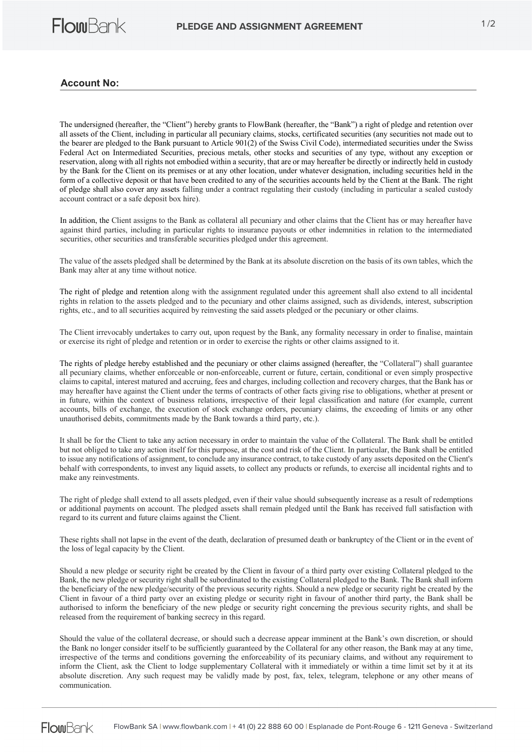

## **Account No:**

The undersigned (hereafter, the "Client") hereby grants to FlowBank (hereafter, the "Bank") a right of pledge and retention over all assets of the Client, including in particular all pecuniary claims, stocks, certificated securities (any securities not made out to the bearer are pledged to the Bank pursuant to Article 901(2) of the Swiss Civil Code), intermediated securities under the Swiss Federal Act on Intermediated Securities, precious metals, other stocks and securities of any type, without any exception or reservation, along with all rights not embodied within a security, that are or may hereafter be directly or indirectly held in custody by the Bank for the Client on its premises or at any other location, under whatever designation, including securities held in the form of a collective deposit or that have been credited to any of the securities accounts held by the Client at the Bank. The right of pledge shall also cover any assets falling under a contract regulating their custody (including in particular a sealed custody account contract or a safe deposit box hire).

In addition, the Client assigns to the Bank as collateral all pecuniary and other claims that the Client has or may hereafter have against third parties, including in particular rights to insurance payouts or other indemnities in relation to the intermediated securities, other securities and transferable securities pledged under this agreement.

The value of the assets pledged shall be determined by the Bank at its absolute discretion on the basis of its own tables, which the Bank may alter at any time without notice.

The right of pledge and retention along with the assignment regulated under this agreement shall also extend to all incidental rights in relation to the assets pledged and to the pecuniary and other claims assigned, such as dividends, interest, subscription rights, etc., and to all securities acquired by reinvesting the said assets pledged or the pecuniary or other claims.

The Client irrevocably undertakes to carry out, upon request by the Bank, any formality necessary in order to finalise, maintain or exercise its right of pledge and retention or in order to exercise the rights or other claims assigned to it.

The rights of pledge hereby established and the pecuniary or other claims assigned (hereafter, the "Collateral") shall guarantee all pecuniary claims, whether enforceable or non-enforceable, current or future, certain, conditional or even simply prospective claims to capital, interest matured and accruing, fees and charges, including collection and recovery charges, that the Bank has or may hereafter have against the Client under the terms of contracts of other facts giving rise to obligations, whether at present or in future, within the context of business relations, irrespective of their legal classification and nature (for example, current accounts, bills of exchange, the execution of stock exchange orders, pecuniary claims, the exceeding of limits or any other unauthorised debits, commitments made by the Bank towards a third party, etc.).

It shall be for the Client to take any action necessary in order to maintain the value of the Collateral. The Bank shall be entitled but not obliged to take any action itself for this purpose, at the cost and risk of the Client. In particular, the Bank shall be entitled to issue any notifications of assignment, to conclude any insurance contract, to take custody of any assets deposited on the Client's behalf with correspondents, to invest any liquid assets, to collect any products or refunds, to exercise all incidental rights and to make any reinvestments.

The right of pledge shall extend to all assets pledged, even if their value should subsequently increase as a result of redemptions or additional payments on account. The pledged assets shall remain pledged until the Bank has received full satisfaction with regard to its current and future claims against the Client.

These rights shall not lapse in the event of the death, declaration of presumed death or bankruptcy of the Client or in the event of the loss of legal capacity by the Client.

Should a new pledge or security right be created by the Client in favour of a third party over existing Collateral pledged to the Bank, the new pledge or security right shall be subordinated to the existing Collateral pledged to the Bank. The Bank shall inform the beneficiary of the new pledge/security of the previous security rights. Should a new pledge or security right be created by the Client in favour of a third party over an existing pledge or security right in favour of another third party, the Bank shall be authorised to inform the beneficiary of the new pledge or security right concerning the previous security rights, and shall be released from the requirement of banking secrecy in this regard.

Should the value of the collateral decrease, or should such a decrease appear imminent at the Bank's own discretion, or should the Bank no longer consider itself to be sufficiently guaranteed by the Collateral for any other reason, the Bank may at any time, irrespective of the terms and conditions governing the enforceability of its pecuniary claims, and without any requirement to inform the Client, ask the Client to lodge supplementary Collateral with it immediately or within a time limit set by it at its absolute discretion. Any such request may be validly made by post, fax, telex, telegram, telephone or any other means of communication.

**FlowBank** FlowBank SA **|** www.flowbank.com **|** + 41 (0) 22 888 60 00 **|** Esplanade de Pont-Rouge 6 - 1211 Geneva - Switzerland